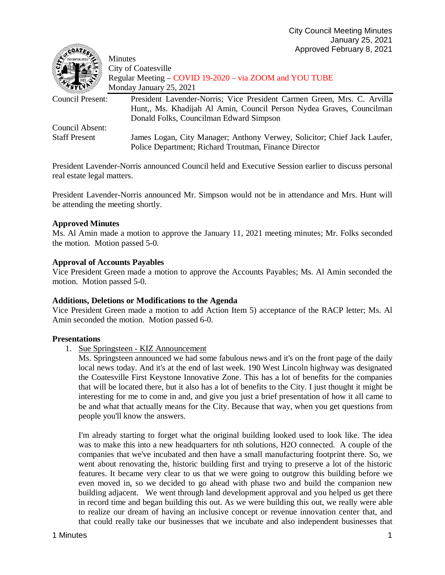| Course &             | '                                                                        |
|----------------------|--------------------------------------------------------------------------|
|                      | <b>Minutes</b>                                                           |
|                      | City of Coatesville                                                      |
|                      | Regular Meeting – COVID 19-2020 – via ZOOM and YOU TUBE                  |
|                      | Monday January 25, 2021                                                  |
| Council Present:     | President Lavender-Norris; Vice President Carmen Green, Mrs. C. Arvilla  |
|                      | Hunt., Ms. Khadijah Al Amin, Council Person Nydea Graves, Councilman     |
|                      | Donald Folks, Councilman Edward Simpson                                  |
| Council Absent:      |                                                                          |
| <b>Staff Present</b> | James Logan, City Manager; Anthony Verwey, Solicitor; Chief Jack Laufer, |
|                      | Police Department; Richard Troutman, Finance Director                    |

President Lavender-Norris announced Council held and Executive Session earlier to discuss personal real estate legal matters.

President Lavender-Norris announced Mr. Simpson would not be in attendance and Mrs. Hunt will be attending the meeting shortly.

## **Approved Minutes**

Ms. Al Amin made a motion to approve the January 11, 2021 meeting minutes; Mr. Folks seconded the motion. Motion passed 5-0.

#### **Approval of Accounts Payables**

Vice President Green made a motion to approve the Accounts Payables; Ms. Al Amin seconded the motion. Motion passed 5-0.

#### **Additions, Deletions or Modifications to the Agenda**

Vice President Green made a motion to add Action Item 5) acceptance of the RACP letter; Ms. Al Amin seconded the motion. Motion passed 6-0.

#### **Presentations**

1. Sue Springsteen - KIZ Announcement

Ms. Springsteen announced we had some fabulous news and it's on the front page of the daily local news today. And it's at the end of last week. 190 West Lincoln highway was designated the Coatesville First Keystone Innovative Zone. This has a lot of benefits for the companies that will be located there, but it also has a lot of benefits to the City. I just thought it might be interesting for me to come in and, and give you just a brief presentation of how it all came to be and what that actually means for the City. Because that way, when you get questions from people you'll know the answers.

I'm already starting to forget what the original building looked used to look like. The idea was to make this into a new headquarters for nth solutions, H2O connected. A couple of the companies that we've incubated and then have a small manufacturing footprint there. So, we went about renovating the, historic building first and trying to preserve a lot of the historic features. It became very clear to us that we were going to outgrow this building before we even moved in, so we decided to go ahead with phase two and build the companion new building adjacent. We went through land development approval and you helped us get there in record time and began building this out. As we were building this out, we really were able to realize our dream of having an inclusive concept or revenue innovation center that, and that could really take our businesses that we incubate and also independent businesses that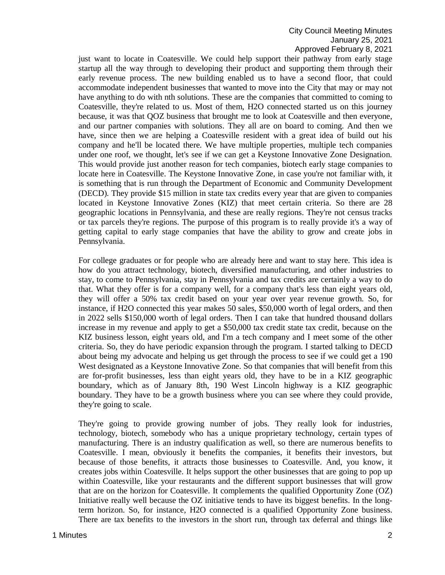## City Council Meeting Minutes January 25, 2021 Approved February 8, 2021

just want to locate in Coatesville. We could help support their pathway from early stage startup all the way through to developing their product and supporting them through their early revenue process. The new building enabled us to have a second floor, that could accommodate independent businesses that wanted to move into the City that may or may not have anything to do with nth solutions. These are the companies that committed to coming to Coatesville, they're related to us. Most of them, H2O connected started us on this journey because, it was that QOZ business that brought me to look at Coatesville and then everyone, and our partner companies with solutions. They all are on board to coming. And then we have, since then we are helping a Coatesville resident with a great idea of build out his company and he'll be located there. We have multiple properties, multiple tech companies under one roof, we thought, let's see if we can get a Keystone Innovative Zone Designation. This would provide just another reason for tech companies, biotech early stage companies to locate here in Coatesville. The Keystone Innovative Zone, in case you're not familiar with, it is something that is run through the Department of Economic and Community Development (DECD). They provide \$15 million in state tax credits every year that are given to companies located in Keystone Innovative Zones (KIZ) that meet certain criteria. So there are 28 geographic locations in Pennsylvania, and these are really regions. They're not census tracks or tax parcels they're regions. The purpose of this program is to really provide it's a way of getting capital to early stage companies that have the ability to grow and create jobs in Pennsylvania.

For college graduates or for people who are already here and want to stay here. This idea is how do you attract technology, biotech, diversified manufacturing, and other industries to stay, to come to Pennsylvania, stay in Pennsylvania and tax credits are certainly a way to do that. What they offer is for a company well, for a company that's less than eight years old, they will offer a 50% tax credit based on your year over year revenue growth. So, for instance, if H2O connected this year makes 50 sales, \$50,000 worth of legal orders, and then in 2022 sells \$150,000 worth of legal orders. Then I can take that hundred thousand dollars increase in my revenue and apply to get a \$50,000 tax credit state tax credit, because on the KIZ business lesson, eight years old, and I'm a tech company and I meet some of the other criteria. So, they do have periodic expansion through the program. I started talking to DECD about being my advocate and helping us get through the process to see if we could get a 190 West designated as a Keystone Innovative Zone. So that companies that will benefit from this are for-profit businesses, less than eight years old, they have to be in a KIZ geographic boundary, which as of January 8th, 190 West Lincoln highway is a KIZ geographic boundary. They have to be a growth business where you can see where they could provide, they're going to scale.

They're going to provide growing number of jobs. They really look for industries, technology, biotech, somebody who has a unique proprietary technology, certain types of manufacturing. There is an industry qualification as well, so there are numerous benefits to Coatesville. I mean, obviously it benefits the companies, it benefits their investors, but because of those benefits, it attracts those businesses to Coatesville. And, you know, it creates jobs within Coatesville. It helps support the other businesses that are going to pop up within Coatesville, like your restaurants and the different support businesses that will grow that are on the horizon for Coatesville. It complements the qualified Opportunity Zone (OZ) Initiative really well because the OZ initiative tends to have its biggest benefits. In the longterm horizon. So, for instance, H2O connected is a qualified Opportunity Zone business. There are tax benefits to the investors in the short run, through tax deferral and things like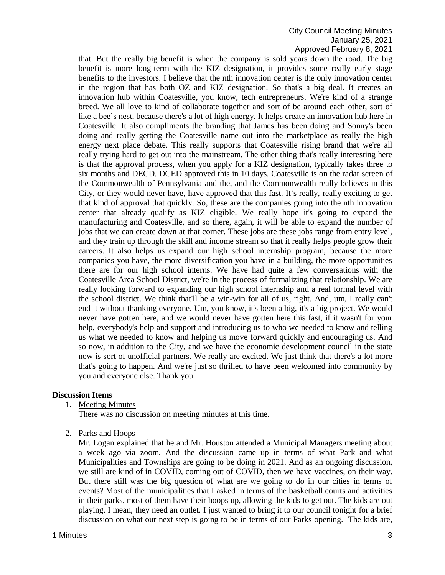## City Council Meeting Minutes January 25, 2021 Approved February 8, 2021

that. But the really big benefit is when the company is sold years down the road. The big benefit is more long-term with the KIZ designation, it provides some really early stage benefits to the investors. I believe that the nth innovation center is the only innovation center in the region that has both OZ and KIZ designation. So that's a big deal. It creates an innovation hub within Coatesville, you know, tech entrepreneurs. We're kind of a strange breed. We all love to kind of collaborate together and sort of be around each other, sort of like a bee's nest, because there's a lot of high energy. It helps create an innovation hub here in Coatesville. It also compliments the branding that James has been doing and Sonny's been doing and really getting the Coatesville name out into the marketplace as really the high energy next place debate. This really supports that Coatesville rising brand that we're all really trying hard to get out into the mainstream. The other thing that's really interesting here is that the approval process, when you apply for a KIZ designation, typically takes three to six months and DECD. DCED approved this in 10 days. Coatesville is on the radar screen of the Commonwealth of Pennsylvania and the, and the Commonwealth really believes in this City, or they would never have, have approved that this fast. It's really, really exciting to get that kind of approval that quickly. So, these are the companies going into the nth innovation center that already qualify as KIZ eligible. We really hope it's going to expand the manufacturing and Coatesville, and so there, again, it will be able to expand the number of jobs that we can create down at that corner. These jobs are these jobs range from entry level, and they train up through the skill and income stream so that it really helps people grow their careers. It also helps us expand our high school internship program, because the more companies you have, the more diversification you have in a building, the more opportunities there are for our high school interns. We have had quite a few conversations with the Coatesville Area School District, we're in the process of formalizing that relationship. We are really looking forward to expanding our high school internship and a real formal level with the school district. We think that'll be a win-win for all of us, right. And, um, I really can't end it without thanking everyone. Um, you know, it's been a big, it's a big project. We would never have gotten here, and we would never have gotten here this fast, if it wasn't for your help, everybody's help and support and introducing us to who we needed to know and telling us what we needed to know and helping us move forward quickly and encouraging us. And so now, in addition to the City, and we have the economic development council in the state now is sort of unofficial partners. We really are excited. We just think that there's a lot more that's going to happen. And we're just so thrilled to have been welcomed into community by you and everyone else. Thank you.

# **Discussion Items**

1. Meeting Minutes

There was no discussion on meeting minutes at this time.

2. Parks and Hoops

Mr. Logan explained that he and Mr. Houston attended a Municipal Managers meeting about a week ago via zoom. And the discussion came up in terms of what Park and what Municipalities and Townships are going to be doing in 2021. And as an ongoing discussion, we still are kind of in COVID, coming out of COVID, then we have vaccines, on their way. But there still was the big question of what are we going to do in our cities in terms of events? Most of the municipalities that I asked in terms of the basketball courts and activities in their parks, most of them have their hoops up, allowing the kids to get out. The kids are out playing. I mean, they need an outlet. I just wanted to bring it to our council tonight for a brief discussion on what our next step is going to be in terms of our Parks opening. The kids are,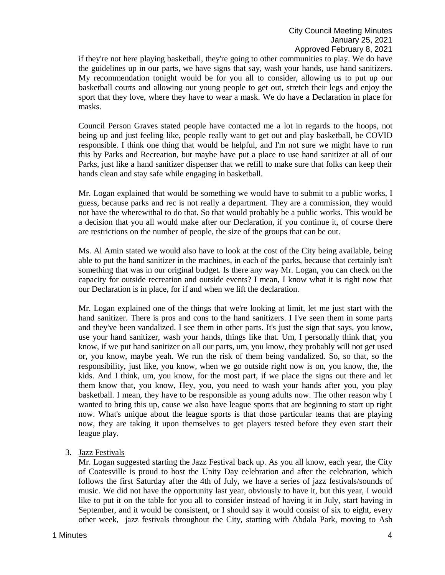if they're not here playing basketball, they're going to other communities to play. We do have the guidelines up in our parts, we have signs that say, wash your hands, use hand sanitizers. My recommendation tonight would be for you all to consider, allowing us to put up our basketball courts and allowing our young people to get out, stretch their legs and enjoy the sport that they love, where they have to wear a mask. We do have a Declaration in place for masks.

Council Person Graves stated people have contacted me a lot in regards to the hoops, not being up and just feeling like, people really want to get out and play basketball, be COVID responsible. I think one thing that would be helpful, and I'm not sure we might have to run this by Parks and Recreation, but maybe have put a place to use hand sanitizer at all of our Parks, just like a hand sanitizer dispenser that we refill to make sure that folks can keep their hands clean and stay safe while engaging in basketball.

Mr. Logan explained that would be something we would have to submit to a public works, I guess, because parks and rec is not really a department. They are a commission, they would not have the wherewithal to do that. So that would probably be a public works. This would be a decision that you all would make after our Declaration, if you continue it, of course there are restrictions on the number of people, the size of the groups that can be out.

Ms. Al Amin stated we would also have to look at the cost of the City being available, being able to put the hand sanitizer in the machines, in each of the parks, because that certainly isn't something that was in our original budget. Is there any way Mr. Logan, you can check on the capacity for outside recreation and outside events? I mean, I know what it is right now that our Declaration is in place, for if and when we lift the declaration.

Mr. Logan explained one of the things that we're looking at limit, let me just start with the hand sanitizer. There is pros and cons to the hand sanitizers. I I've seen them in some parts and they've been vandalized. I see them in other parts. It's just the sign that says, you know, use your hand sanitizer, wash your hands, things like that. Um, I personally think that, you know, if we put hand sanitizer on all our parts, um, you know, they probably will not get used or, you know, maybe yeah. We run the risk of them being vandalized. So, so that, so the responsibility, just like, you know, when we go outside right now is on, you know, the, the kids. And I think, um, you know, for the most part, if we place the signs out there and let them know that, you know, Hey, you, you need to wash your hands after you, you play basketball. I mean, they have to be responsible as young adults now. The other reason why I wanted to bring this up, cause we also have league sports that are beginning to start up right now. What's unique about the league sports is that those particular teams that are playing now, they are taking it upon themselves to get players tested before they even start their league play.

3. Jazz Festivals

Mr. Logan suggested starting the Jazz Festival back up. As you all know, each year, the City of Coatesville is proud to host the Unity Day celebration and after the celebration, which follows the first Saturday after the 4th of July, we have a series of jazz festivals/sounds of music. We did not have the opportunity last year, obviously to have it, but this year, I would like to put it on the table for you all to consider instead of having it in July, start having in September, and it would be consistent, or I should say it would consist of six to eight, every other week, jazz festivals throughout the City, starting with Abdala Park, moving to Ash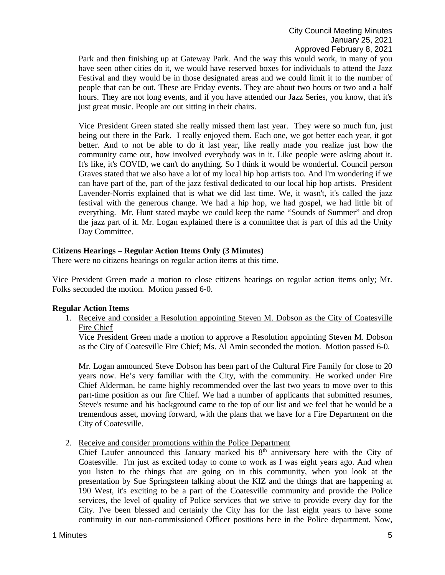Park and then finishing up at Gateway Park. And the way this would work, in many of you have seen other cities do it, we would have reserved boxes for individuals to attend the Jazz Festival and they would be in those designated areas and we could limit it to the number of people that can be out. These are Friday events. They are about two hours or two and a half hours. They are not long events, and if you have attended our Jazz Series, you know, that it's just great music. People are out sitting in their chairs.

Vice President Green stated she really missed them last year. They were so much fun, just being out there in the Park. I really enjoyed them. Each one, we got better each year, it got better. And to not be able to do it last year, like really made you realize just how the community came out, how involved everybody was in it. Like people were asking about it. It's like, it's COVID, we can't do anything. So I think it would be wonderful. Council person Graves stated that we also have a lot of my local hip hop artists too. And I'm wondering if we can have part of the, part of the jazz festival dedicated to our local hip hop artists. President Lavender-Norris explained that is what we did last time. We, it wasn't, it's called the jazz festival with the generous change. We had a hip hop, we had gospel, we had little bit of everything. Mr. Hunt stated maybe we could keep the name "Sounds of Summer" and drop the jazz part of it. Mr. Logan explained there is a committee that is part of this ad the Unity Day Committee.

## **Citizens Hearings – Regular Action Items Only (3 Minutes)**

There were no citizens hearings on regular action items at this time.

Vice President Green made a motion to close citizens hearings on regular action items only; Mr. Folks seconded the motion. Motion passed 6-0.

#### **Regular Action Items**

1. Receive and consider a Resolution appointing Steven M. Dobson as the City of Coatesville Fire Chief

Vice President Green made a motion to approve a Resolution appointing Steven M. Dobson as the City of Coatesville Fire Chief; Ms. Al Amin seconded the motion. Motion passed 6-0.

Mr. Logan announced Steve Dobson has been part of the Cultural Fire Family for close to 20 years now. He's very familiar with the City, with the community. He worked under Fire Chief Alderman, he came highly recommended over the last two years to move over to this part-time position as our fire Chief. We had a number of applicants that submitted resumes, Steve's resume and his background came to the top of our list and we feel that he would be a tremendous asset, moving forward, with the plans that we have for a Fire Department on the City of Coatesville.

2. Receive and consider promotions within the Police Department

Chief Laufer announced this January marked his 8<sup>th</sup> anniversary here with the City of Coatesville. I'm just as excited today to come to work as I was eight years ago. And when you listen to the things that are going on in this community, when you look at the presentation by Sue Springsteen talking about the KIZ and the things that are happening at 190 West, it's exciting to be a part of the Coatesville community and provide the Police services, the level of quality of Police services that we strive to provide every day for the City. I've been blessed and certainly the City has for the last eight years to have some continuity in our non-commissioned Officer positions here in the Police department. Now,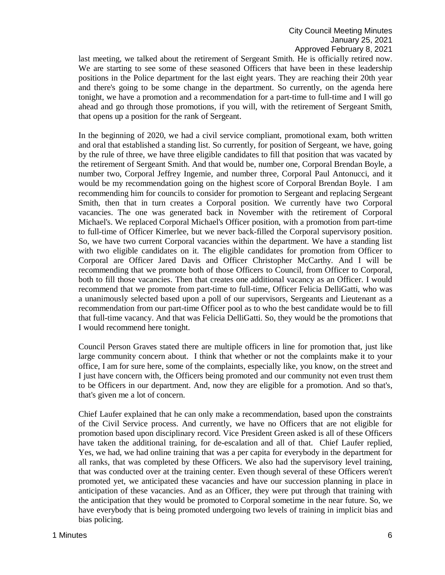last meeting, we talked about the retirement of Sergeant Smith. He is officially retired now. We are starting to see some of these seasoned Officers that have been in these leadership positions in the Police department for the last eight years. They are reaching their 20th year and there's going to be some change in the department. So currently, on the agenda here tonight, we have a promotion and a recommendation for a part-time to full-time and I will go ahead and go through those promotions, if you will, with the retirement of Sergeant Smith, that opens up a position for the rank of Sergeant.

In the beginning of 2020, we had a civil service compliant, promotional exam, both written and oral that established a standing list. So currently, for position of Sergeant, we have, going by the rule of three, we have three eligible candidates to fill that position that was vacated by the retirement of Sergeant Smith. And that would be, number one, Corporal Brendan Boyle, a number two, Corporal Jeffrey Ingemie, and number three, Corporal Paul Antonucci, and it would be my recommendation going on the highest score of Corporal Brendan Boyle. I am recommending him for councils to consider for promotion to Sergeant and replacing Sergeant Smith, then that in turn creates a Corporal position. We currently have two Corporal vacancies. The one was generated back in November with the retirement of Corporal Michael's. We replaced Corporal Michael's Officer position, with a promotion from part-time to full-time of Officer Kimerlee, but we never back-filled the Corporal supervisory position. So, we have two current Corporal vacancies within the department. We have a standing list with two eligible candidates on it. The eligible candidates for promotion from Officer to Corporal are Officer Jared Davis and Officer Christopher McCarthy. And I will be recommending that we promote both of those Officers to Council, from Officer to Corporal, both to fill those vacancies. Then that creates one additional vacancy as an Officer. I would recommend that we promote from part-time to full-time, Officer Felicia DelliGatti, who was a unanimously selected based upon a poll of our supervisors, Sergeants and Lieutenant as a recommendation from our part-time Officer pool as to who the best candidate would be to fill that full-time vacancy. And that was Felicia DelliGatti. So, they would be the promotions that I would recommend here tonight.

Council Person Graves stated there are multiple officers in line for promotion that, just like large community concern about. I think that whether or not the complaints make it to your office, I am for sure here, some of the complaints, especially like, you know, on the street and I just have concern with, the Officers being promoted and our community not even trust them to be Officers in our department. And, now they are eligible for a promotion. And so that's, that's given me a lot of concern.

Chief Laufer explained that he can only make a recommendation, based upon the constraints of the Civil Service process. And currently, we have no Officers that are not eligible for promotion based upon disciplinary record. Vice President Green asked is all of these Officers have taken the additional training, for de-escalation and all of that. Chief Laufer replied, Yes, we had, we had online training that was a per capita for everybody in the department for all ranks, that was completed by these Officers. We also had the supervisory level training, that was conducted over at the training center. Even though several of these Officers weren't promoted yet, we anticipated these vacancies and have our succession planning in place in anticipation of these vacancies. And as an Officer, they were put through that training with the anticipation that they would be promoted to Corporal sometime in the near future. So, we have everybody that is being promoted undergoing two levels of training in implicit bias and bias policing.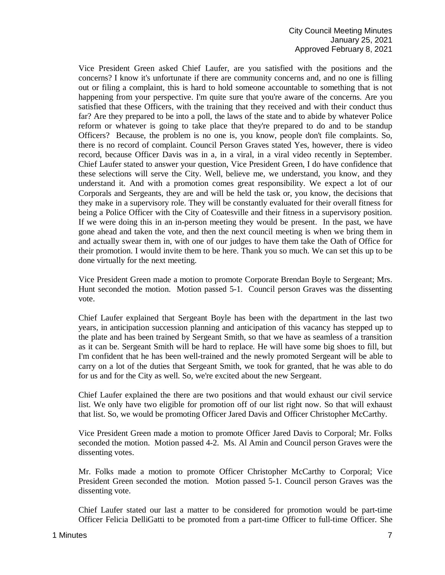Vice President Green asked Chief Laufer, are you satisfied with the positions and the concerns? I know it's unfortunate if there are community concerns and, and no one is filling out or filing a complaint, this is hard to hold someone accountable to something that is not happening from your perspective. I'm quite sure that you're aware of the concerns. Are you satisfied that these Officers, with the training that they received and with their conduct thus far? Are they prepared to be into a poll, the laws of the state and to abide by whatever Police reform or whatever is going to take place that they're prepared to do and to be standup Officers? Because, the problem is no one is, you know, people don't file complaints. So, there is no record of complaint. Council Person Graves stated Yes, however, there is video record, because Officer Davis was in a, in a viral, in a viral video recently in September. Chief Laufer stated to answer your question, Vice President Green, I do have confidence that these selections will serve the City. Well, believe me, we understand, you know, and they understand it. And with a promotion comes great responsibility. We expect a lot of our Corporals and Sergeants, they are and will be held the task or, you know, the decisions that they make in a supervisory role. They will be constantly evaluated for their overall fitness for being a Police Officer with the City of Coatesville and their fitness in a supervisory position. If we were doing this in an in-person meeting they would be present. In the past, we have gone ahead and taken the vote, and then the next council meeting is when we bring them in and actually swear them in, with one of our judges to have them take the Oath of Office for their promotion. I would invite them to be here. Thank you so much. We can set this up to be done virtually for the next meeting.

Vice President Green made a motion to promote Corporate Brendan Boyle to Sergeant; Mrs. Hunt seconded the motion. Motion passed 5-1. Council person Graves was the dissenting vote.

Chief Laufer explained that Sergeant Boyle has been with the department in the last two years, in anticipation succession planning and anticipation of this vacancy has stepped up to the plate and has been trained by Sergeant Smith, so that we have as seamless of a transition as it can be. Sergeant Smith will be hard to replace. He will have some big shoes to fill, but I'm confident that he has been well-trained and the newly promoted Sergeant will be able to carry on a lot of the duties that Sergeant Smith, we took for granted, that he was able to do for us and for the City as well. So, we're excited about the new Sergeant.

Chief Laufer explained the there are two positions and that would exhaust our civil service list. We only have two eligible for promotion off of our list right now. So that will exhaust that list. So, we would be promoting Officer Jared Davis and Officer Christopher McCarthy.

Vice President Green made a motion to promote Officer Jared Davis to Corporal; Mr. Folks seconded the motion. Motion passed 4-2. Ms. Al Amin and Council person Graves were the dissenting votes.

Mr. Folks made a motion to promote Officer Christopher McCarthy to Corporal; Vice President Green seconded the motion. Motion passed 5-1. Council person Graves was the dissenting vote.

Chief Laufer stated our last a matter to be considered for promotion would be part-time Officer Felicia DelliGatti to be promoted from a part-time Officer to full-time Officer. She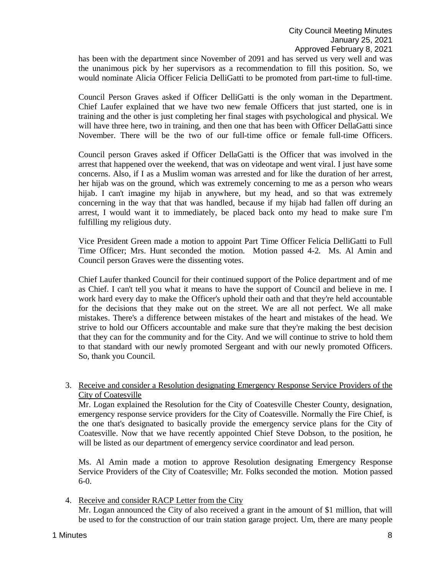has been with the department since November of 2091 and has served us very well and was the unanimous pick by her supervisors as a recommendation to fill this position. So, we would nominate Alicia Officer Felicia DelliGatti to be promoted from part-time to full-time.

Council Person Graves asked if Officer DelliGatti is the only woman in the Department. Chief Laufer explained that we have two new female Officers that just started, one is in training and the other is just completing her final stages with psychological and physical. We will have three here, two in training, and then one that has been with Officer DellaGatti since November. There will be the two of our full-time office or female full-time Officers.

Council person Graves asked if Officer DellaGatti is the Officer that was involved in the arrest that happened over the weekend, that was on videotape and went viral. I just have some concerns. Also, if I as a Muslim woman was arrested and for like the duration of her arrest, her hijab was on the ground, which was extremely concerning to me as a person who wears hijab. I can't imagine my hijab in anywhere, but my head, and so that was extremely concerning in the way that that was handled, because if my hijab had fallen off during an arrest, I would want it to immediately, be placed back onto my head to make sure I'm fulfilling my religious duty.

Vice President Green made a motion to appoint Part Time Officer Felicia DelliGatti to Full Time Officer; Mrs. Hunt seconded the motion. Motion passed 4-2. Ms. Al Amin and Council person Graves were the dissenting votes.

Chief Laufer thanked Council for their continued support of the Police department and of me as Chief. I can't tell you what it means to have the support of Council and believe in me. I work hard every day to make the Officer's uphold their oath and that they're held accountable for the decisions that they make out on the street. We are all not perfect. We all make mistakes. There's a difference between mistakes of the heart and mistakes of the head. We strive to hold our Officers accountable and make sure that they're making the best decision that they can for the community and for the City. And we will continue to strive to hold them to that standard with our newly promoted Sergeant and with our newly promoted Officers. So, thank you Council.

3. Receive and consider a Resolution designating Emergency Response Service Providers of the City of Coatesville

Mr. Logan explained the Resolution for the City of Coatesville Chester County, designation, emergency response service providers for the City of Coatesville. Normally the Fire Chief, is the one that's designated to basically provide the emergency service plans for the City of Coatesville. Now that we have recently appointed Chief Steve Dobson, to the position, he will be listed as our department of emergency service coordinator and lead person.

Ms. Al Amin made a motion to approve Resolution designating Emergency Response Service Providers of the City of Coatesville; Mr. Folks seconded the motion. Motion passed 6-0.

4. Receive and consider RACP Letter from the City Mr. Logan announced the City of also received a grant in the amount of \$1 million, that will be used to for the construction of our train station garage project. Um, there are many people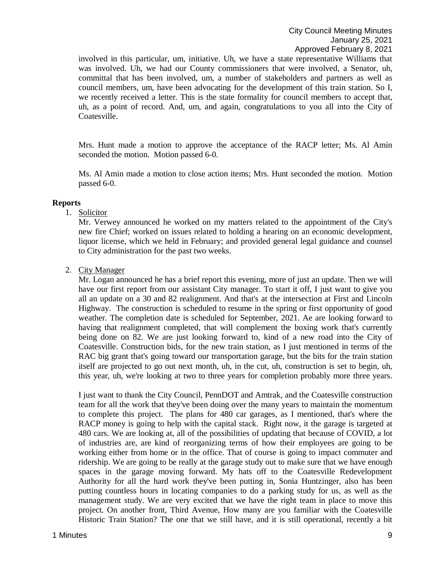involved in this particular, um, initiative. Uh, we have a state representative Williams that was involved. Uh, we had our County commissioners that were involved, a Senator, uh, committal that has been involved, um, a number of stakeholders and partners as well as council members, um, have been advocating for the development of this train station. So I, we recently received a letter. This is the state formality for council members to accept that, uh, as a point of record. And, um, and again, congratulations to you all into the City of Coatesville.

Mrs. Hunt made a motion to approve the acceptance of the RACP letter; Ms. Al Amin seconded the motion. Motion passed 6-0.

Ms. Al Amin made a motion to close action items; Mrs. Hunt seconded the motion. Motion passed 6-0.

## **Reports**

## 1. Solicitor

Mr. Verwey announced he worked on my matters related to the appointment of the City's new fire Chief; worked on issues related to holding a hearing on an economic development, liquor license, which we held in February; and provided general legal guidance and counsel to City administration for the past two weeks.

## 2. City Manager

Mr. Logan announced he has a brief report this evening, more of just an update. Then we will have our first report from our assistant City manager. To start it off, I just want to give you all an update on a 30 and 82 realignment. And that's at the intersection at First and Lincoln Highway. The construction is scheduled to resume in the spring or first opportunity of good weather. The completion date is scheduled for September, 2021. Ae are looking forward to having that realignment completed, that will complement the boxing work that's currently being done on 82. We are just looking forward to, kind of a new road into the City of Coatesville. Construction bids, for the new train station, as I just mentioned in terms of the RAC big grant that's going toward our transportation garage, but the bits for the train station itself are projected to go out next month, uh, in the cut, uh, construction is set to begin, uh, this year, uh, we're looking at two to three years for completion probably more three years.

I just want to thank the City Council, PennDOT and Amtrak, and the Coatesville construction team for all the work that they've been doing over the many years to maintain the momentum to complete this project. The plans for 480 car garages, as I mentioned, that's where the RACP money is going to help with the capital stack. Right now, it the garage is targeted at 480 cars. We are looking at, all of the possibilities of updating that because of COVID, a lot of industries are, are kind of reorganizing terms of how their employees are going to be working either from home or in the office. That of course is going to impact commuter and ridership. We are going to be really at the garage study out to make sure that we have enough spaces in the garage moving forward. My hats off to the Coatesville Redevelopment Authority for all the hard work they've been putting in, Sonia Huntzinger, also has been putting countless hours in locating companies to do a parking study for us, as well as the management study. We are very excited that we have the right team in place to move this project. On another front, Third Avenue, How many are you familiar with the Coatesville Historic Train Station? The one that we still have, and it is still operational, recently a bit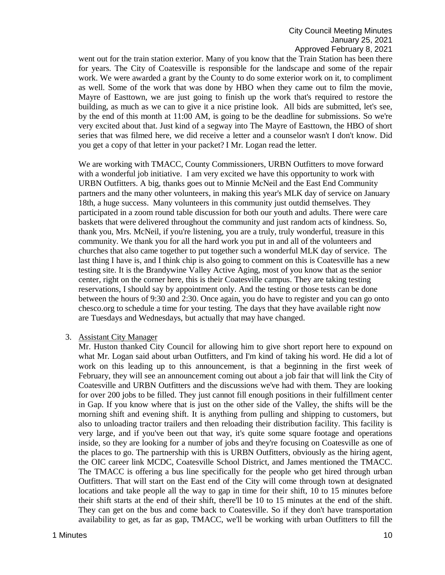went out for the train station exterior. Many of you know that the Train Station has been there for years. The City of Coatesville is responsible for the landscape and some of the repair work. We were awarded a grant by the County to do some exterior work on it, to compliment as well. Some of the work that was done by HBO when they came out to film the movie, Mayre of Easttown, we are just going to finish up the work that's required to restore the building, as much as we can to give it a nice pristine look. All bids are submitted, let's see, by the end of this month at 11:00 AM, is going to be the deadline for submissions. So we're very excited about that. Just kind of a segway into The Mayre of Easttown, the HBO of short series that was filmed here, we did receive a letter and a counselor wasn't I don't know. Did you get a copy of that letter in your packet? I Mr. Logan read the letter.

We are working with TMACC, County Commissioners, URBN Outfitters to move forward with a wonderful job initiative. I am very excited we have this opportunity to work with URBN Outfitters. A big, thanks goes out to Minnie McNeil and the East End Community partners and the many other volunteers, in making this year's MLK day of service on January 18th, a huge success. Many volunteers in this community just outdid themselves. They participated in a zoom round table discussion for both our youth and adults. There were care baskets that were delivered throughout the community and just random acts of kindness. So, thank you, Mrs. McNeil, if you're listening, you are a truly, truly wonderful, treasure in this community. We thank you for all the hard work you put in and all of the volunteers and churches that also came together to put together such a wonderful MLK day of service. The last thing I have is, and I think chip is also going to comment on this is Coatesville has a new testing site. It is the Brandywine Valley Active Aging, most of you know that as the senior center, right on the corner here, this is their Coatesville campus. They are taking testing reservations, I should say by appointment only. And the testing or those tests can be done between the hours of 9:30 and 2:30. Once again, you do have to register and you can go onto chesco.org to schedule a time for your testing. The days that they have available right now are Tuesdays and Wednesdays, but actually that may have changed.

#### 3. Assistant City Manager

Mr. Huston thanked City Council for allowing him to give short report here to expound on what Mr. Logan said about urban Outfitters, and I'm kind of taking his word. He did a lot of work on this leading up to this announcement, is that a beginning in the first week of February, they will see an announcement coming out about a job fair that will link the City of Coatesville and URBN Outfitters and the discussions we've had with them. They are looking for over 200 jobs to be filled. They just cannot fill enough positions in their fulfillment center in Gap. If you know where that is just on the other side of the Valley, the shifts will be the morning shift and evening shift. It is anything from pulling and shipping to customers, but also to unloading tractor trailers and then reloading their distribution facility. This facility is very large, and if you've been out that way, it's quite some square footage and operations inside, so they are looking for a number of jobs and they're focusing on Coatesville as one of the places to go. The partnership with this is URBN Outfitters, obviously as the hiring agent, the OIC career link MCDC, Coatesville School District, and James mentioned the TMACC. The TMACC is offering a bus line specifically for the people who get hired through urban Outfitters. That will start on the East end of the City will come through town at designated locations and take people all the way to gap in time for their shift, 10 to 15 minutes before their shift starts at the end of their shift, there'll be 10 to 15 minutes at the end of the shift. They can get on the bus and come back to Coatesville. So if they don't have transportation availability to get, as far as gap, TMACC, we'll be working with urban Outfitters to fill the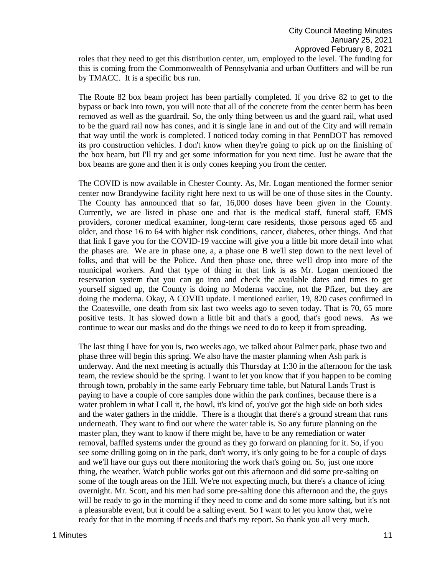roles that they need to get this distribution center, um, employed to the level. The funding for this is coming from the Commonwealth of Pennsylvania and urban Outfitters and will be run by TMACC. It is a specific bus run.

The Route 82 box beam project has been partially completed. If you drive 82 to get to the bypass or back into town, you will note that all of the concrete from the center berm has been removed as well as the guardrail. So, the only thing between us and the guard rail, what used to be the guard rail now has cones, and it is single lane in and out of the City and will remain that way until the work is completed. I noticed today coming in that PennDOT has removed its pro construction vehicles. I don't know when they're going to pick up on the finishing of the box beam, but I'll try and get some information for you next time. Just be aware that the box beams are gone and then it is only cones keeping you from the center.

The COVID is now available in Chester County. As, Mr. Logan mentioned the former senior center now Brandywine facility right here next to us will be one of those sites in the County. The County has announced that so far, 16,000 doses have been given in the County. Currently, we are listed in phase one and that is the medical staff, funeral staff, EMS providers, coroner medical examiner, long-term care residents, those persons aged 65 and older, and those 16 to 64 with higher risk conditions, cancer, diabetes, other things. And that that link I gave you for the COVID-19 vaccine will give you a little bit more detail into what the phases are. We are in phase one, a, a phase one B we'll step down to the next level of folks, and that will be the Police. And then phase one, three we'll drop into more of the municipal workers. And that type of thing in that link is as Mr. Logan mentioned the reservation system that you can go into and check the available dates and times to get yourself signed up, the County is doing no Moderna vaccine, not the Pfizer, but they are doing the moderna. Okay, A COVID update. I mentioned earlier, 19, 820 cases confirmed in the Coatesville, one death from six last two weeks ago to seven today. That is 70, 65 more positive tests. It has slowed down a little bit and that's a good, that's good news. As we continue to wear our masks and do the things we need to do to keep it from spreading.

The last thing I have for you is, two weeks ago, we talked about Palmer park, phase two and phase three will begin this spring. We also have the master planning when Ash park is underway. And the next meeting is actually this Thursday at 1:30 in the afternoon for the task team, the review should be the spring. I want to let you know that if you happen to be coming through town, probably in the same early February time table, but Natural Lands Trust is paying to have a couple of core samples done within the park confines, because there is a water problem in what I call it, the bowl, it's kind of, you've got the high side on both sides and the water gathers in the middle. There is a thought that there's a ground stream that runs underneath. They want to find out where the water table is. So any future planning on the master plan, they want to know if there might be, have to be any remediation or water removal, baffled systems under the ground as they go forward on planning for it. So, if you see some drilling going on in the park, don't worry, it's only going to be for a couple of days and we'll have our guys out there monitoring the work that's going on. So, just one more thing, the weather. Watch public works got out this afternoon and did some pre-salting on some of the tough areas on the Hill. We're not expecting much, but there's a chance of icing overnight. Mr. Scott, and his men had some pre-salting done this afternoon and the, the guys will be ready to go in the morning if they need to come and do some more salting, but it's not a pleasurable event, but it could be a salting event. So I want to let you know that, we're ready for that in the morning if needs and that's my report. So thank you all very much.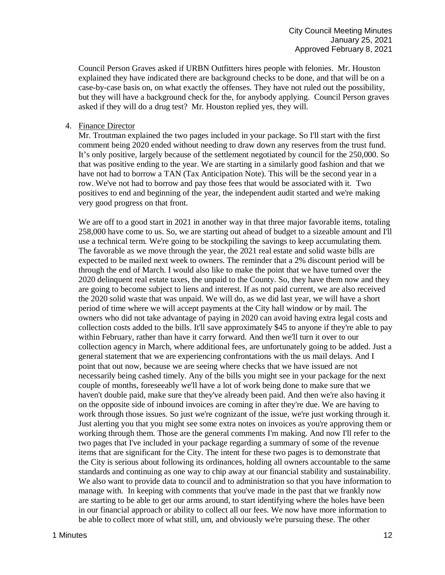Council Person Graves asked if URBN Outfitters hires people with felonies. Mr. Houston explained they have indicated there are background checks to be done, and that will be on a case-by-case basis on, on what exactly the offenses. They have not ruled out the possibility, but they will have a background check for the, for anybody applying. Council Person graves asked if they will do a drug test? Mr. Houston replied yes, they will.

#### 4. Finance Director

Mr. Troutman explained the two pages included in your package. So I'll start with the first comment being 2020 ended without needing to draw down any reserves from the trust fund. It's only positive, largely because of the settlement negotiated by council for the 250,000. So that was positive ending to the year. We are starting in a similarly good fashion and that we have not had to borrow a TAN (Tax Anticipation Note). This will be the second year in a row. We've not had to borrow and pay those fees that would be associated with it. Two positives to end and beginning of the year, the independent audit started and we're making very good progress on that front.

We are off to a good start in 2021 in another way in that three major favorable items, totaling 258,000 have come to us. So, we are starting out ahead of budget to a sizeable amount and I'll use a technical term. We're going to be stockpiling the savings to keep accumulating them. The favorable as we move through the year, the 2021 real estate and solid waste bills are expected to be mailed next week to owners. The reminder that a 2% discount period will be through the end of March. I would also like to make the point that we have turned over the 2020 delinquent real estate taxes, the unpaid to the County. So, they have them now and they are going to become subject to liens and interest. If as not paid current, we are also received the 2020 solid waste that was unpaid. We will do, as we did last year, we will have a short period of time where we will accept payments at the City hall window or by mail. The owners who did not take advantage of paying in 2020 can avoid having extra legal costs and collection costs added to the bills. It'll save approximately \$45 to anyone if they're able to pay within February, rather than have it carry forward. And then we'll turn it over to our collection agency in March, where additional fees, are unfortunately going to be added. Just a general statement that we are experiencing confrontations with the us mail delays. And I point that out now, because we are seeing where checks that we have issued are not necessarily being cashed timely. Any of the bills you might see in your package for the next couple of months, foreseeably we'll have a lot of work being done to make sure that we haven't double paid, make sure that they've already been paid. And then we're also having it on the opposite side of inbound invoices are coming in after they're due. We are having to work through those issues. So just we're cognizant of the issue, we're just working through it. Just alerting you that you might see some extra notes on invoices as you're approving them or working through them. Those are the general comments I'm making. And now I'll refer to the two pages that I've included in your package regarding a summary of some of the revenue items that are significant for the City. The intent for these two pages is to demonstrate that the City is serious about following its ordinances, holding all owners accountable to the same standards and continuing as one way to chip away at our financial stability and sustainability. We also want to provide data to council and to administration so that you have information to manage with. In keeping with comments that you've made in the past that we frankly now are starting to be able to get our arms around, to start identifying where the holes have been in our financial approach or ability to collect all our fees. We now have more information to be able to collect more of what still, um, and obviously we're pursuing these. The other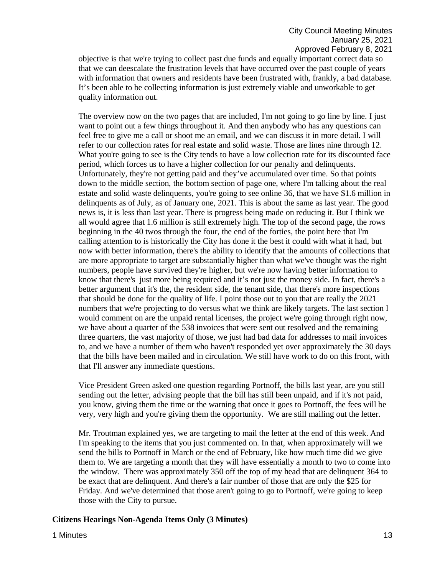objective is that we're trying to collect past due funds and equally important correct data so that we can deescalate the frustration levels that have occurred over the past couple of years with information that owners and residents have been frustrated with, frankly, a bad database. It's been able to be collecting information is just extremely viable and unworkable to get quality information out.

The overview now on the two pages that are included, I'm not going to go line by line. I just want to point out a few things throughout it. And then anybody who has any questions can feel free to give me a call or shoot me an email, and we can discuss it in more detail. I will refer to our collection rates for real estate and solid waste. Those are lines nine through 12. What you're going to see is the City tends to have a low collection rate for its discounted face period, which forces us to have a higher collection for our penalty and delinquents. Unfortunately, they're not getting paid and they've accumulated over time. So that points down to the middle section, the bottom section of page one, where I'm talking about the real estate and solid waste delinquents, you're going to see online 36, that we have \$1.6 million in delinquents as of July, as of January one, 2021. This is about the same as last year. The good news is, it is less than last year. There is progress being made on reducing it. But I think we all would agree that 1.6 million is still extremely high. The top of the second page, the rows beginning in the 40 twos through the four, the end of the forties, the point here that I'm calling attention to is historically the City has done it the best it could with what it had, but now with better information, there's the ability to identify that the amounts of collections that are more appropriate to target are substantially higher than what we've thought was the right numbers, people have survived they're higher, but we're now having better information to know that there's just more being required and it's not just the money side. In fact, there's a better argument that it's the, the resident side, the tenant side, that there's more inspections that should be done for the quality of life. I point those out to you that are really the 2021 numbers that we're projecting to do versus what we think are likely targets. The last section I would comment on are the unpaid rental licenses, the project we're going through right now, we have about a quarter of the 538 invoices that were sent out resolved and the remaining three quarters, the vast majority of those, we just had bad data for addresses to mail invoices to, and we have a number of them who haven't responded yet over approximately the 30 days that the bills have been mailed and in circulation. We still have work to do on this front, with that I'll answer any immediate questions.

Vice President Green asked one question regarding Portnoff, the bills last year, are you still sending out the letter, advising people that the bill has still been unpaid, and if it's not paid, you know, giving them the time or the warning that once it goes to Portnoff, the fees will be very, very high and you're giving them the opportunity. We are still mailing out the letter.

Mr. Troutman explained yes, we are targeting to mail the letter at the end of this week. And I'm speaking to the items that you just commented on. In that, when approximately will we send the bills to Portnoff in March or the end of February, like how much time did we give them to. We are targeting a month that they will have essentially a month to two to come into the window. There was approximately 350 off the top of my head that are delinquent 364 to be exact that are delinquent. And there's a fair number of those that are only the \$25 for Friday. And we've determined that those aren't going to go to Portnoff, we're going to keep those with the City to pursue.

#### **Citizens Hearings Non-Agenda Items Only (3 Minutes)**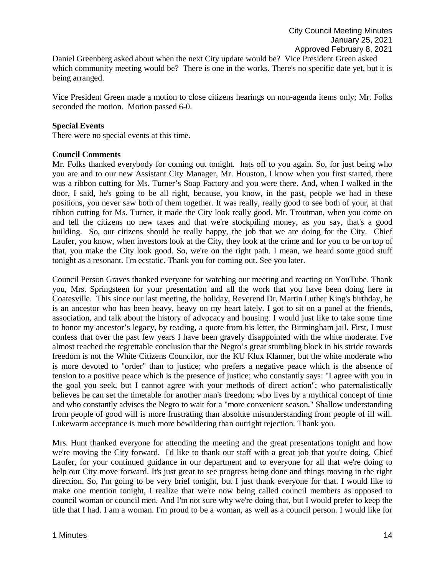Daniel Greenberg asked about when the next City update would be? Vice President Green asked which community meeting would be? There is one in the works. There's no specific date yet, but it is being arranged.

Vice President Green made a motion to close citizens hearings on non-agenda items only; Mr. Folks seconded the motion. Motion passed 6-0.

## **Special Events**

There were no special events at this time.

## **Council Comments**

Mr. Folks thanked everybody for coming out tonight. hats off to you again. So, for just being who you are and to our new Assistant City Manager, Mr. Houston, I know when you first started, there was a ribbon cutting for Ms. Turner's Soap Factory and you were there. And, when I walked in the door, I said, he's going to be all right, because, you know, in the past, people we had in these positions, you never saw both of them together. It was really, really good to see both of your, at that ribbon cutting for Ms. Turner, it made the City look really good. Mr. Troutman, when you come on and tell the citizens no new taxes and that we're stockpiling money, as you say, that's a good building. So, our citizens should be really happy, the job that we are doing for the City. Chief Laufer, you know, when investors look at the City, they look at the crime and for you to be on top of that, you make the City look good. So, we're on the right path. I mean, we heard some good stuff tonight as a resonant. I'm ecstatic. Thank you for coming out. See you later.

Council Person Graves thanked everyone for watching our meeting and reacting on YouTube. Thank you, Mrs. Springsteen for your presentation and all the work that you have been doing here in Coatesville. This since our last meeting, the holiday, Reverend Dr. Martin Luther King's birthday, he is an ancestor who has been heavy, heavy on my heart lately. I got to sit on a panel at the friends, association, and talk about the history of advocacy and housing. I would just like to take some time to honor my ancestor's legacy, by reading, a quote from his letter, the Birmingham jail. First, I must confess that over the past few years I have been gravely disappointed with the white moderate. I've almost reached the regrettable conclusion that the Negro's great stumbling block in his stride towards freedom is not the White Citizens Councilor, nor the KU Klux Klanner, but the white moderate who is more devoted to "order" than to justice; who prefers a negative peace which is the absence of tension to a positive peace which is the presence of justice; who constantly says: "I agree with you in the goal you seek, but I cannot agree with your methods of direct action"; who paternalistically believes he can set the timetable for another man's freedom; who lives by a mythical concept of time and who constantly advises the Negro to wait for a "more convenient season." Shallow understanding from people of good will is more frustrating than absolute misunderstanding from people of ill will. Lukewarm acceptance is much more bewildering than outright rejection. Thank you.

Mrs. Hunt thanked everyone for attending the meeting and the great presentations tonight and how we're moving the City forward. I'd like to thank our staff with a great job that you're doing, Chief Laufer, for your continued guidance in our department and to everyone for all that we're doing to help our City move forward. It's just great to see progress being done and things moving in the right direction. So, I'm going to be very brief tonight, but I just thank everyone for that. I would like to make one mention tonight, I realize that we're now being called council members as opposed to council woman or council men. And I'm not sure why we're doing that, but I would prefer to keep the title that I had. I am a woman. I'm proud to be a woman, as well as a council person. I would like for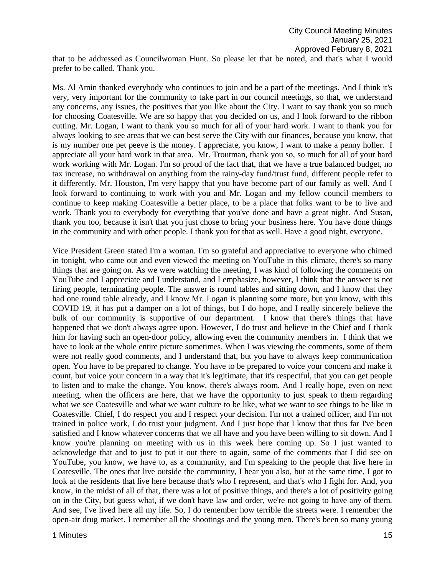that to be addressed as Councilwoman Hunt. So please let that be noted, and that's what I would prefer to be called. Thank you.

Ms. Al Amin thanked everybody who continues to join and be a part of the meetings. And I think it's very, very important for the community to take part in our council meetings, so that, we understand any concerns, any issues, the positives that you like about the City. I want to say thank you so much for choosing Coatesville. We are so happy that you decided on us, and I look forward to the ribbon cutting. Mr. Logan, I want to thank you so much for all of your hard work. I want to thank you for always looking to see areas that we can best serve the City with our finances, because you know, that is my number one pet peeve is the money. I appreciate, you know, I want to make a penny holler. I appreciate all your hard work in that area. Mr. Troutman, thank you so, so much for all of your hard work working with Mr. Logan. I'm so proud of the fact that, that we have a true balanced budget, no tax increase, no withdrawal on anything from the rainy-day fund/trust fund, different people refer to it differently. Mr. Houston, I'm very happy that you have become part of our family as well. And I look forward to continuing to work with you and Mr. Logan and my fellow council members to continue to keep making Coatesville a better place, to be a place that folks want to be to live and work. Thank you to everybody for everything that you've done and have a great night. And Susan, thank you too, because it isn't that you just chose to bring your business here. You have done things in the community and with other people. I thank you for that as well. Have a good night, everyone.

Vice President Green stated I'm a woman. I'm so grateful and appreciative to everyone who chimed in tonight, who came out and even viewed the meeting on YouTube in this climate, there's so many things that are going on. As we were watching the meeting, I was kind of following the comments on YouTube and I appreciate and I understand, and I emphasize, however, I think that the answer is not firing people, terminating people. The answer is round tables and sitting down, and I know that they had one round table already, and I know Mr. Logan is planning some more, but you know, with this COVID 19, it has put a damper on a lot of things, but I do hope, and I really sincerely believe the bulk of our community is supportive of our department. I know that there's things that have happened that we don't always agree upon. However, I do trust and believe in the Chief and I thank him for having such an open-door policy, allowing even the community members in. I think that we have to look at the whole entire picture sometimes. When I was viewing the comments, some of them were not really good comments, and I understand that, but you have to always keep communication open. You have to be prepared to change. You have to be prepared to voice your concern and make it count, but voice your concern in a way that it's legitimate, that it's respectful, that you can get people to listen and to make the change. You know, there's always room. And I really hope, even on next meeting, when the officers are here, that we have the opportunity to just speak to them regarding what we see Coatesville and what we want culture to be like, what we want to see things to be like in Coatesville. Chief, I do respect you and I respect your decision. I'm not a trained officer, and I'm not trained in police work, I do trust your judgment. And I just hope that I know that thus far I've been satisfied and I know whatever concerns that we all have and you have been willing to sit down. And I know you're planning on meeting with us in this week here coming up. So I just wanted to acknowledge that and to just to put it out there to again, some of the comments that I did see on YouTube, you know, we have to, as a community, and I'm speaking to the people that live here in Coatesville. The ones that live outside the community, I hear you also, but at the same time, I got to look at the residents that live here because that's who I represent, and that's who I fight for. And, you know, in the midst of all of that, there was a lot of positive things, and there's a lot of positivity going on in the City, but guess what, if we don't have law and order, we're not going to have any of them. And see, I've lived here all my life. So, I do remember how terrible the streets were. I remember the open-air drug market. I remember all the shootings and the young men. There's been so many young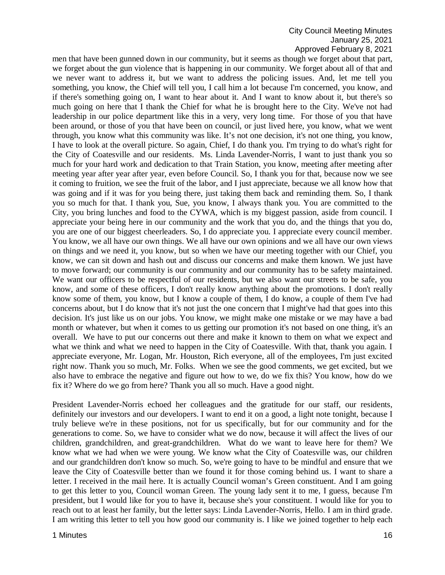## City Council Meeting Minutes January 25, 2021 Approved February 8, 2021

men that have been gunned down in our community, but it seems as though we forget about that part, we forget about the gun violence that is happening in our community. We forget about all of that and we never want to address it, but we want to address the policing issues. And, let me tell you something, you know, the Chief will tell you, I call him a lot because I'm concerned, you know, and if there's something going on, I want to hear about it. And I want to know about it, but there's so much going on here that I thank the Chief for what he is brought here to the City. We've not had leadership in our police department like this in a very, very long time. For those of you that have been around, or those of you that have been on council, or just lived here, you know, what we went through, you know what this community was like. It's not one decision, it's not one thing, you know, I have to look at the overall picture. So again, Chief, I do thank you. I'm trying to do what's right for the City of Coatesville and our residents. Ms. Linda Lavender-Norris, I want to just thank you so much for your hard work and dedication to that Train Station, you know, meeting after meeting after meeting year after year after year, even before Council. So, I thank you for that, because now we see it coming to fruition, we see the fruit of the labor, and I just appreciate, because we all know how that was going and if it was for you being there, just taking them back and reminding them. So, I thank you so much for that. I thank you, Sue, you know, I always thank you. You are committed to the City, you bring lunches and food to the CYWA, which is my biggest passion, aside from council. I appreciate your being here in our community and the work that you do, and the things that you do, you are one of our biggest cheerleaders. So, I do appreciate you. I appreciate every council member. You know, we all have our own things. We all have our own opinions and we all have our own views on things and we need it, you know, but so when we have our meeting together with our Chief, you know, we can sit down and hash out and discuss our concerns and make them known. We just have to move forward; our community is our community and our community has to be safety maintained. We want our officers to be respectful of our residents, but we also want our streets to be safe, you know, and some of these officers, I don't really know anything about the promotions. I don't really know some of them, you know, but I know a couple of them, I do know, a couple of them I've had concerns about, but I do know that it's not just the one concern that I might've had that goes into this decision. It's just like us on our jobs. You know, we might make one mistake or we may have a bad month or whatever, but when it comes to us getting our promotion it's not based on one thing, it's an overall. We have to put our concerns out there and make it known to them on what we expect and what we think and what we need to happen in the City of Coatesville. With that, thank you again. I appreciate everyone, Mr. Logan, Mr. Houston, Rich everyone, all of the employees, I'm just excited right now. Thank you so much, Mr. Folks. When we see the good comments, we get excited, but we also have to embrace the negative and figure out how to we, do we fix this? You know, how do we fix it? Where do we go from here? Thank you all so much. Have a good night.

President Lavender-Norris echoed her colleagues and the gratitude for our staff, our residents, definitely our investors and our developers. I want to end it on a good, a light note tonight, because I truly believe we're in these positions, not for us specifically, but for our community and for the generations to come. So, we have to consider what we do now, because it will affect the lives of our children, grandchildren, and great-grandchildren. What do we want to leave here for them? We know what we had when we were young. We know what the City of Coatesville was, our children and our grandchildren don't know so much. So, we're going to have to be mindful and ensure that we leave the City of Coatesville better than we found it for those coming behind us. I want to share a letter. I received in the mail here. It is actually Council woman's Green constituent. And I am going to get this letter to you, Council woman Green. The young lady sent it to me, I guess, because I'm president, but I would like for you to have it, because she's your constituent. I would like for you to reach out to at least her family, but the letter says: Linda Lavender-Norris, Hello. I am in third grade. I am writing this letter to tell you how good our community is. I like we joined together to help each